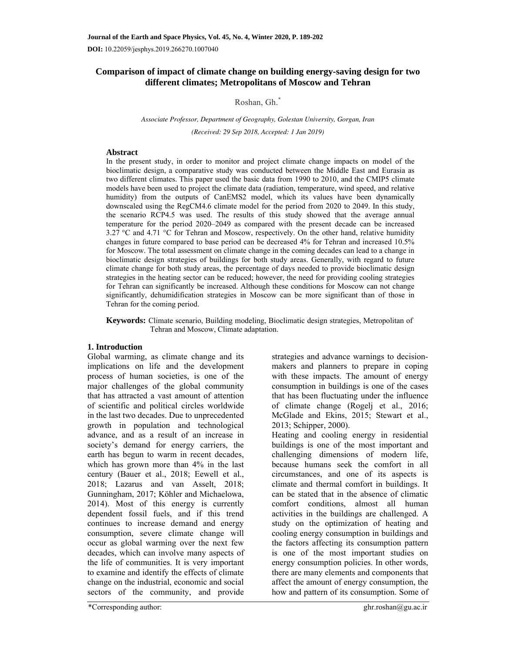# **Comparison of impact of climate change on building energy-saving design for two different climates; Metropolitans of Moscow and Tehran**

## Roshan, Gh.\*

*Associate Professor, Department of Geography, Golestan University, Gorgan, Iran (Received: 29 Sep 2018, Accepted: 1 Jan 2019)* 

#### **Abstract**

In the present study, in order to monitor and project climate change impacts on model of the bioclimatic design, a comparative study was conducted between the Middle East and Eurasia as two different climates. This paper used the basic data from 1990 to 2010, and the CMIP5 climate models have been used to project the climate data (radiation, temperature, wind speed, and relative humidity) from the outputs of CanEMS2 model, which its values have been dynamically downscaled using the RegCM4.6 climate model for the period from 2020 to 2049. In this study, the scenario RCP4.5 was used. The results of this study showed that the average annual temperature for the period 2020–2049 as compared with the present decade can be increased 3.27  $\degree$ C and 4.71  $\degree$ C for Tehran and Moscow, respectively. On the other hand, relative humidity changes in future compared to base period can be decreased 4% for Tehran and increased 10.5% for Moscow. The total assessment on climate change in the coming decades can lead to a change in bioclimatic design strategies of buildings for both study areas. Generally, with regard to future climate change for both study areas, the percentage of days needed to provide bioclimatic design strategies in the heating sector can be reduced; however, the need for providing cooling strategies for Tehran can significantly be increased. Although these conditions for Moscow can not change significantly, dehumidification strategies in Moscow can be more significant than of those in Tehran for the coming period.

**Keywords:** Climate scenario, Building modeling, Bioclimatic design strategies, Metropolitan of Tehran and Moscow, Climate adaptation.

## **1. Introduction**

Global warming, as climate change and its implications on life and the development process of human societies, is one of the major challenges of the global community that has attracted a vast amount of attention of scientific and political circles worldwide in the last two decades. Due to unprecedented growth in population and technological advance, and as a result of an increase in society's demand for energy carriers, the earth has begun to warm in recent decades, which has grown more than 4% in the last century (Bauer et al., 2018; Eewell et al., 2018; Lazarus and van Asselt, 2018; Gunningham, 2017; Köhler and Michaelowa, 2014). Most of this energy is currently dependent fossil fuels, and if this trend continues to increase demand and energy consumption, severe climate change will occur as global warming over the next few decades, which can involve many aspects of the life of communities. It is very important to examine and identify the effects of climate change on the industrial, economic and social sectors of the community, and provide

strategies and advance warnings to decisionmakers and planners to prepare in coping with these impacts. The amount of energy consumption in buildings is one of the cases that has been fluctuating under the influence of climate change (Rogelj et al., 2016; McGlade and Ekins, 2015; Stewart et al., 2013; Schipper, 2000).

Heating and cooling energy in residential buildings is one of the most important and challenging dimensions of modern life, because humans seek the comfort in all circumstances, and one of its aspects is climate and thermal comfort in buildings. It can be stated that in the absence of climatic comfort conditions, almost all human activities in the buildings are challenged. A study on the optimization of heating and cooling energy consumption in buildings and the factors affecting its consumption pattern is one of the most important studies on energy consumption policies. In other words, there are many elements and components that affect the amount of energy consumption, the how and pattern of its consumption. Some of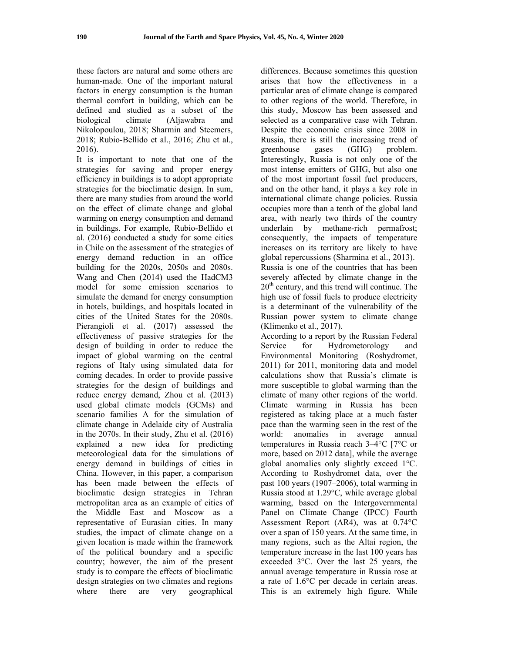these factors are natural and some others are human-made. One of the important natural factors in energy consumption is the human thermal comfort in building, which can be defined and studied as a subset of the biological climate (Aljawabra and Nikolopoulou, 2018; Sharmin and Steemers, 2018; Rubio-Bellido et al., 2016; Zhu et al., 2016).

It is important to note that one of the strategies for saving and proper energy efficiency in buildings is to adopt appropriate strategies for the bioclimatic design. In sum, there are many studies from around the world on the effect of climate change and global warming on energy consumption and demand in buildings. For example, Rubio-Bellido et al. (2016) conducted a study for some cities in Chile on the assessment of the strategies of energy demand reduction in an office building for the 2020s, 2050s and 2080s. Wang and Chen (2014) used the HadCM3 model for some emission scenarios to simulate the demand for energy consumption in hotels, buildings, and hospitals located in cities of the United States for the 2080s. Pierangioli et al. (2017) assessed the effectiveness of passive strategies for the design of building in order to reduce the impact of global warming on the central regions of Italy using simulated data for coming decades. In order to provide passive strategies for the design of buildings and reduce energy demand, Zhou et al. (2013) used global climate models (GCMs) and scenario families A for the simulation of climate change in Adelaide city of Australia in the 2070s. In their study, Zhu et al. (2016) explained a new idea for predicting meteorological data for the simulations of energy demand in buildings of cities in China. However, in this paper, a comparison has been made between the effects of bioclimatic design strategies in Tehran metropolitan area as an example of cities of the Middle East and Moscow as a representative of Eurasian cities. In many studies, the impact of climate change on a given location is made within the framework of the political boundary and a specific country; however, the aim of the present study is to compare the effects of bioclimatic design strategies on two climates and regions where there are very geographical

differences. Because sometimes this question arises that how the effectiveness in a particular area of climate change is compared to other regions of the world. Therefore, in this study, Moscow has been assessed and selected as a comparative case with Tehran. Despite the economic crisis since 2008 in Russia, there is still the increasing trend of greenhouse gases (GHG) problem. Interestingly, Russia is not only one of the most intense emitters of GHG, but also one of the most important fossil fuel producers, and on the other hand, it plays a key role in international climate change policies. Russia occupies more than a tenth of the global land area, with nearly two thirds of the country underlain by methane-rich permafrost; consequently, the impacts of temperature increases on its territory are likely to have global repercussions (Sharmina et al., 2013). Russia is one of the countries that has been severely affected by climate change in the  $20<sup>th</sup>$  century, and this trend will continue. The high use of fossil fuels to produce electricity is a determinant of the vulnerability of the Russian power system to climate change (Klimenko et al., 2017).

According to a report by the Russian Federal Service for Hydrometorology and Environmental Monitoring (Roshydromet, 2011) for 2011, monitoring data and model calculations show that Russia's climate is more susceptible to global warming than the climate of many other regions of the world. Climate warming in Russia has been registered as taking place at a much faster pace than the warming seen in the rest of the world: anomalies in average annual temperatures in Russia reach 3–4°С [7°С or more, based on 2012 data], while the average global anomalies only slightly exceed 1°С. According to Roshydromet data, over the past 100 years (1907–2006), total warming in Russia stood at 1.29°С, while average global warming, based on the Intergovernmental Panel on Climate Change (IPCC) Fourth Assessment Report (AR4), was at 0.74°С over a span of 150 years. At the same time, in many regions, such as the Altai region, the temperature increase in the last 100 years has exceeded 3°С. Over the last 25 years, the annual average temperature in Russia rose at a rate of 1.6°С per decade in certain areas. This is an extremely high figure. While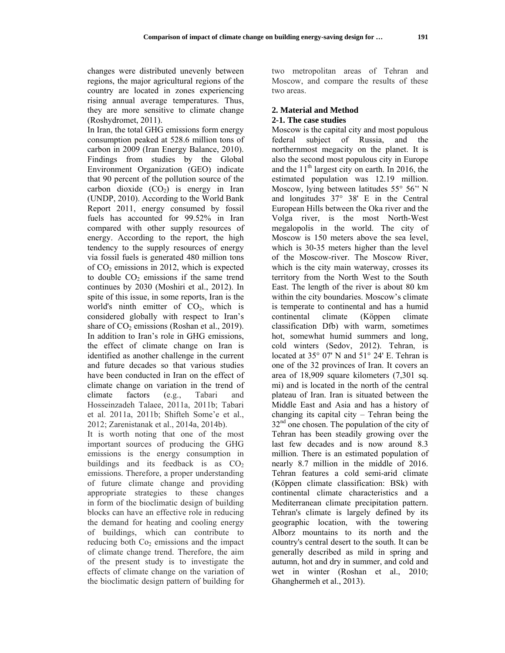changes were distributed unevenly between regions, the major agricultural regions of the country are located in zones experiencing rising annual average temperatures. Thus, they are more sensitive to climate change (Roshydromet, 2011).

In Iran, the total GHG emissions form energy consumption peaked at 528.6 million tons of carbon in 2009 (Iran Energy Balance, 2010). Findings from studies by the Global Environment Organization (GEO) indicate that 90 percent of the pollution source of the carbon dioxide  $(CO<sub>2</sub>)$  is energy in Iran (UNDP, 2010). According to the World Bank Report 2011, energy consumed by fossil fuels has accounted for 99.52% in Iran compared with other supply resources of energy. According to the report, the high tendency to the supply resources of energy via fossil fuels is generated 480 million tons of  $CO<sub>2</sub>$  emissions in 2012, which is expected to double  $CO<sub>2</sub>$  emissions if the same trend continues by 2030 (Moshiri et al., 2012). In spite of this issue, in some reports, Iran is the world's ninth emitter of  $CO<sub>2</sub>$ , which is considered globally with respect to Iran's share of  $CO<sub>2</sub>$  emissions (Roshan et al., 2019). In addition to Iran's role in GHG emissions, the effect of climate change on Iran is identified as another challenge in the current and future decades so that various studies have been conducted in Iran on the effect of climate change on variation in the trend of climate factors (e.g., Tabari and Hosseinzadeh Talaee, 2011a, 2011b; Tabari et al. 2011a, 2011b; Shifteh Some'e et al., 2012; Zarenistanak et al., 2014a, 2014b).

It is worth noting that one of the most important sources of producing the GHG emissions is the energy consumption in buildings and its feedback is as  $CO<sub>2</sub>$ emissions. Therefore, a proper understanding of future climate change and providing appropriate strategies to these changes in form of the bioclimatic design of building blocks can have an effective role in reducing the demand for heating and cooling energy of buildings, which can contribute to reducing both  $Co<sub>2</sub>$  emissions and the impact of climate change trend. Therefore, the aim of the present study is to investigate the effects of climate change on the variation of the bioclimatic design pattern of building for

two metropolitan areas of Tehran and Moscow, and compare the results of these two areas.

# **2. Material and Method**

#### **2-1. The case studies**

Moscow is the capital city and most populous federal subject of Russia, and the northernmost megacity on the planet. It is also the second most populous city in Europe and the  $11<sup>th</sup>$  largest city on earth. In 2016, the estimated population was 12.19 million. Moscow, lying between latitudes 55° 56'' N and longitudes 37° 38' E in the Central European Hills between the Oka river and the Volga river, is the most North-West megalopolis in the world. The city of Moscow is 150 meters above the sea level, which is 30-35 meters higher than the level of the Moscow-river. The Moscow River, which is the city main waterway, crosses its territory from the North West to the South East. The length of the river is about 80 km within the city boundaries. Moscow's climate is temperate to continental and has a humid continental climate (Köppen climate classification Dfb) with warm, sometimes hot, somewhat humid summers and long, cold winters (Sedov, 2012). Tehran, is located at 35° 07' N and 51° 24' E. Tehran is one of the 32 provinces of Iran. It covers an area of 18,909 square kilometers (7,301 sq. mi) and is located in the north of the central plateau of Iran. Iran is situated between the Middle East and Asia and has a history of changing its capital city – Tehran being the 32<sup>nd</sup> one chosen. The population of the city of Tehran has been steadily growing over the last few decades and is now around 8.3 million. There is an estimated population of nearly 8.7 million in the middle of 2016. Tehran features a cold semi-arid climate (Köppen climate classification: BSk) with continental climate characteristics and a Mediterranean climate precipitation pattern. Tehran's climate is largely defined by its geographic location, with the towering Alborz mountains to its north and the country's central desert to the south. It can be generally described as mild in spring and autumn, hot and dry in summer, and cold and wet in winter (Roshan et al., 2010; Ghanghermeh et al., 2013).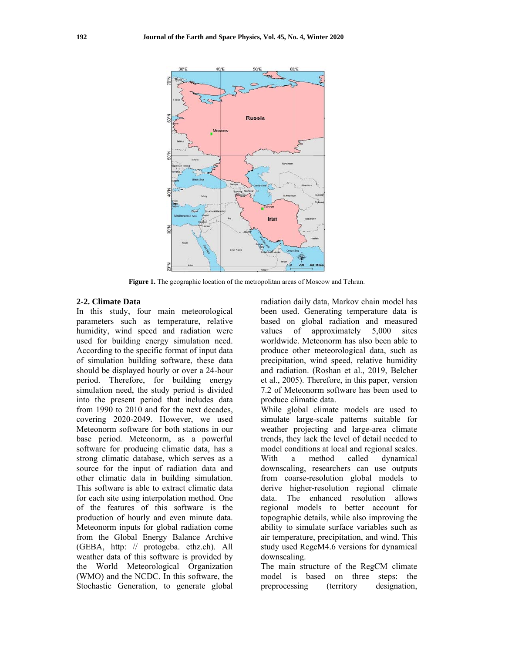

Figure 1. The geographic location of the metropolitan areas of Moscow and Tehran.

### 2-2. Climate Data

In this study, four main meteorological parameters such as temperature, relative humidity, wind speed and radiation were used for building energy simulation need. According to the specific format of input data of simulation building software, these data should be displayed hourly or over a 24-hour period. Therefore, for building energy simulation need, the study period is divided into the present period that includes data from 1990 to 2010 and for the next decades. covering 2020-2049. However, we used Meteonorm software for both stations in our base period. Meteonorm, as a powerful software for producing climatic data, has a strong climatic database, which serves as a source for the input of radiation data and other climatic data in building simulation. This software is able to extract climatic data for each site using interpolation method. One of the features of this software is the production of hourly and even minute data. Meteonorm inputs for global radiation come from the Global Energy Balance Archive (GEBA, http: // protogeba. ethz.ch). All weather data of this software is provided by the World Meteorological Organization (WMO) and the NCDC. In this software, the Stochastic Generation, to generate global

radiation daily data, Markov chain model has been used. Generating temperature data is based on global radiation and measured of approximately  $5,000$ values sites worldwide. Meteonorm has also been able to produce other meteorological data, such as precipitation, wind speed, relative humidity and radiation. (Roshan et al., 2019, Belcher et al., 2005). Therefore, in this paper, version 7.2 of Meteonorm software has been used to produce climatic data.

While global climate models are used to simulate large-scale patterns suitable for weather projecting and large-area climate trends, they lack the level of detail needed to model conditions at local and regional scales. With method called dynamical a downscaling, researchers can use outputs from coarse-resolution global models to derive higher-resolution regional climate data. The enhanced resolution allows regional models to better account for topographic details, while also improving the ability to simulate surface variables such as air temperature, precipitation, and wind. This study used RegcM4.6 versions for dynamical downscaling.

The main structure of the RegCM climate model is based on three steps: the preprocessing (territory designation.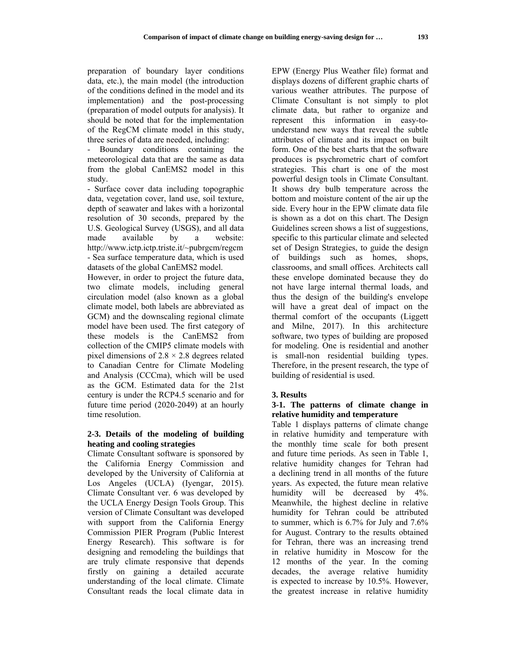preparation of boundary layer conditions data, etc.), the main model (the introduction of the conditions defined in the model and its implementation) and the post-processing (preparation of model outputs for analysis). It should be noted that for the implementation of the RegCM climate model in this study, three series of data are needed, including:

- Boundary conditions containing the meteorological data that are the same as data from the global CanEMS2 model in this study.

- Surface cover data including topographic data, vegetation cover, land use, soil texture, depth of seawater and lakes with a horizontal resolution of 30 seconds, prepared by the U.S. Geological Survey (USGS), and all data made available by a website: http://www.ictp.ictp.triste.it/~pubrgcm/regcm - Sea surface temperature data, which is used datasets of the global CanEMS2 model.

However, in order to project the future data, two climate models, including general circulation model (also known as a global climate model, both labels are abbreviated as GCM) and the downscaling regional climate model have been used. The first category of these models is the CanEMS2 from collection of the CMIP5 climate models with pixel dimensions of  $2.8 \times 2.8$  degrees related to Canadian Centre for Climate Modeling and Analysis (CCCma), which will be used as the GCM. Estimated data for the 21st century is under the RCP4.5 scenario and for future time period (2020-2049) at an hourly time resolution.

#### **2-3. Details of the modeling of building heating and cooling strategies**

Climate Consultant software is sponsored by the California Energy Commission and developed by the University of California at Los Angeles (UCLA) (Iyengar, 2015). Climate Consultant ver. 6 was developed by the UCLA Energy Design Tools Group. This version of Climate Consultant was developed with support from the California Energy Commission PIER Program (Public Interest Energy Research). This software is for designing and remodeling the buildings that are truly climate responsive that depends firstly on gaining a detailed accurate understanding of the local climate. Climate Consultant reads the local climate data in EPW (Energy Plus Weather file) format and displays dozens of different graphic charts of various weather attributes. The purpose of Climate Consultant is not simply to plot climate data, but rather to organize and represent this information in easy-tounderstand new ways that reveal the subtle attributes of climate and its impact on built form. One of the best charts that the software produces is psychrometric chart of comfort strategies. This chart is one of the most powerful design tools in Climate Consultant. It shows dry bulb temperature across the bottom and moisture content of the air up the side. Every hour in the EPW climate data file is shown as a dot on this chart. The Design Guidelines screen shows a list of suggestions, specific to this particular climate and selected set of Design Strategies, to guide the design of buildings such as homes, shops, classrooms, and small offices. Architects call these envelope dominated because they do not have large internal thermal loads, and thus the design of the building's envelope will have a great deal of impact on the thermal comfort of the occupants (Liggett and Milne, 2017). In this architecture software, two types of building are proposed for modeling. One is residential and another is small-non residential building types. Therefore, in the present research, the type of building of residential is used.

## **3. Results**

### **3-1. The patterns of climate change in relative humidity and temperature**

Table 1 displays patterns of climate change in relative humidity and temperature with the monthly time scale for both present and future time periods. As seen in Table 1, relative humidity changes for Tehran had a declining trend in all months of the future years. As expected, the future mean relative humidity will be decreased by 4%. Meanwhile, the highest decline in relative humidity for Tehran could be attributed to summer, which is 6.7% for July and 7.6% for August. Contrary to the results obtained for Tehran, there was an increasing trend in relative humidity in Moscow for the 12 months of the year. In the coming decades, the average relative humidity is expected to increase by 10.5%. However, the greatest increase in relative humidity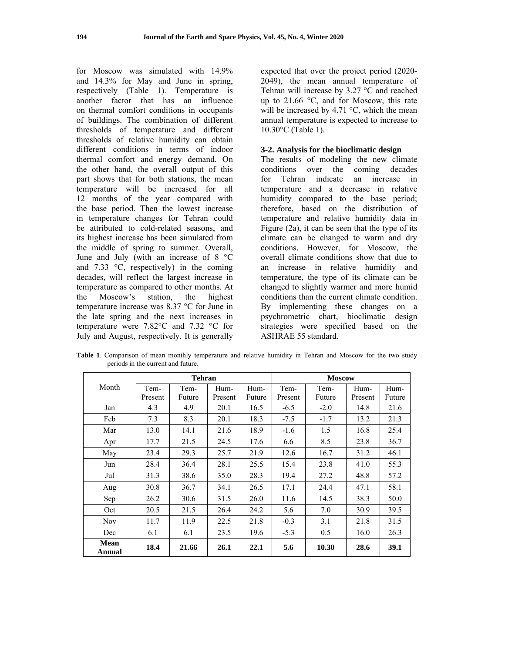for Moscow was simulated with 14.9% and 14.3% for May and June in spring, respectively (Table 1). Temperature is another factor that has an influence on thermal comfort conditions in occupants of buildings. The combination of different thresholds of temperature and different thresholds of relative humidity can obtain different conditions in terms of indoor thermal comfort and energy demand. On the other hand, the overall output of this part shows that for both stations, the mean temperature will be increased for all 12 months of the year compared with the base period. Then the lowest increase in temperature changes for Tehran could be attributed to cold-related seasons, and its highest increase has been simulated from the middle of spring to summer. Overall, June and July (with an increase of 8 °C and 7.33  $\degree$ C, respectively) in the coming decades, will reflect the largest increase in temperature as compared to other months. At the Moscow's station, the highest temperature increase was 8.37 °C for June in the late spring and the next increases in temperature were 7.82°C and 7.32 °C for July and August, respectively. It is generally expected that over the project period (2020- 2049), the mean annual temperature of Tehran will increase by 3.27 °C and reached up to 21.66 °C, and for Moscow, this rate will be increased by 4.71 °C, which the mean annual temperature is expected to increase to 10.30°C (Table 1).

### **3-2. Analysis for the bioclimatic design**

The results of modeling the new climate conditions over the coming decades for Tehran indicate an increase in temperature and a decrease in relative humidity compared to the base period; therefore, based on the distribution of temperature and relative humidity data in Figure (2a), it can be seen that the type of its climate can be changed to warm and dry conditions. However, for Moscow, the overall climate conditions show that due to an increase in relative humidity and temperature, the type of its climate can be changed to slightly warmer and more humid conditions than the current climate condition. By implementing these changes on a psychrometric chart, bioclimatic design strategies were specified based on the ASHRAE 55 standard.

|                       | <b>Tehran</b>   |                |                 |                | <b>Moscow</b>   |                |                 |                |
|-----------------------|-----------------|----------------|-----------------|----------------|-----------------|----------------|-----------------|----------------|
| Month                 | Tem-<br>Present | Tem-<br>Future | Hum-<br>Present | Hum-<br>Future | Tem-<br>Present | Tem-<br>Future | Hum-<br>Present | Hum-<br>Future |
| Jan                   | 4.3             | 4.9            | 20.1            | 16.5           | $-6.5$          | $-2.0$         | 14.8            | 21.6           |
| Feb                   | 7.3             | 8.3            | 20.1            | 18.3           | $-7.5$          | $-1.7$         | 13.2            | 21.3           |
| Mar                   | 13.0            | 14.1           | 21.6            | 18.9           | $-1.6$          | 1.5            | 16.8            | 25.4           |
| Apr                   | 17.7            | 21.5           | 24.5            | 17.6           | 6.6             | 8.5            | 23.8            | 36.7           |
| May                   | 23.4            | 29.3           | 25.7            | 21.9           | 12.6            | 16.7           | 31.2            | 46.1           |
| Jun                   | 28.4            | 36.4           | 28.1            | 25.5           | 15.4            | 23.8           | 41.0            | 55.3           |
| Jul                   | 31.3            | 38.6           | 35.0            | 28.3           | 19.4            | 27.2           | 48.8            | 57.2           |
| Aug                   | 30.8            | 36.7           | 34.1            | 26.5           | 17.1            | 24.4           | 47.1            | 58.1           |
| Sep                   | 26.2            | 30.6           | 31.5            | 26.0           | 11.6            | 14.5           | 38.3            | 50.0           |
| Oct                   | 20.5            | 21.5           | 26.4            | 24.2           | 5.6             | 7.0            | 30.9            | 39.5           |
| <b>Nov</b>            | 11.7            | 11.9           | 22.5            | 21.8           | $-0.3$          | 3.1            | 21.8            | 31.5           |
| Dec                   | 6.1             | 6.1            | 23.5            | 19.6           | $-5.3$          | 0.5            | 16.0            | 26.3           |
| <b>Mean</b><br>Annual | 18.4            | 21.66          | 26.1            | 22.1           | 5.6             | 10.30          | 28.6            | 39.1           |

**Table 1**. Comparison of mean monthly temperature and relative humidity in Tehran and Moscow for the two study periods in the current and future.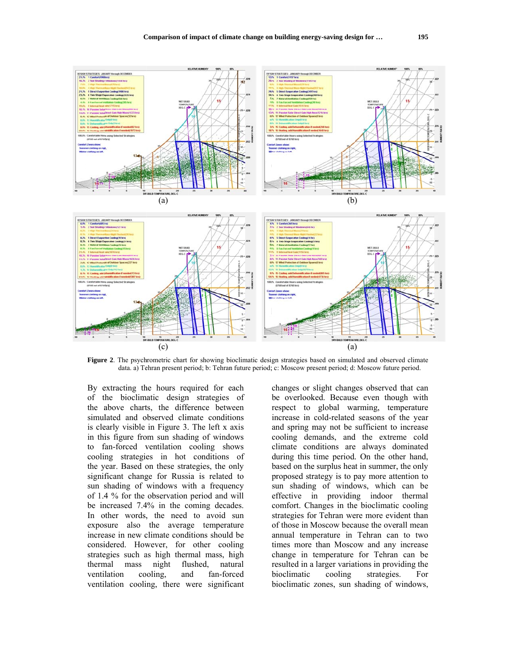

Figure 2. The psychrometric chart for showing bioclimatic design strategies based on simulated and observed climate data. a) Tehran present period; b: Tehran future period; c: Moscow present period; d: Moscow future period.

By extracting the hours required for each of the bioclimatic design strategies of the above charts, the difference between simulated and observed climate conditions is clearly visible in Figure 3. The left x axis in this figure from sun shading of windows to fan-forced ventilation cooling shows cooling strategies in hot conditions of the year. Based on these strategies, the only significant change for Russia is related to sun shading of windows with a frequency of 1.4 % for the observation period and will be increased 7.4% in the coming decades. In other words, the need to avoid sun exposure also the average temperature increase in new climate conditions should be considered. However, for other cooling strategies such as high thermal mass, high thermal mass night flushed. natural ventilation cooling. and fan-forced ventilation cooling, there were significant

changes or slight changes observed that can be overlooked. Because even though with respect to global warming, temperature increase in cold-related seasons of the year and spring may not be sufficient to increase cooling demands, and the extreme cold climate conditions are always dominated during this time period. On the other hand, based on the surplus heat in summer, the only proposed strategy is to pay more attention to sun shading of windows, which can be effective in providing indoor thermal comfort. Changes in the bioclimatic cooling strategies for Tehran were more evident than of those in Moscow because the overall mean annual temperature in Tehran can to two times more than Moscow and any increase change in temperature for Tehran can be resulted in a larger variations in providing the bioclimatic cooling strategies. For bioclimatic zones, sun shading of windows,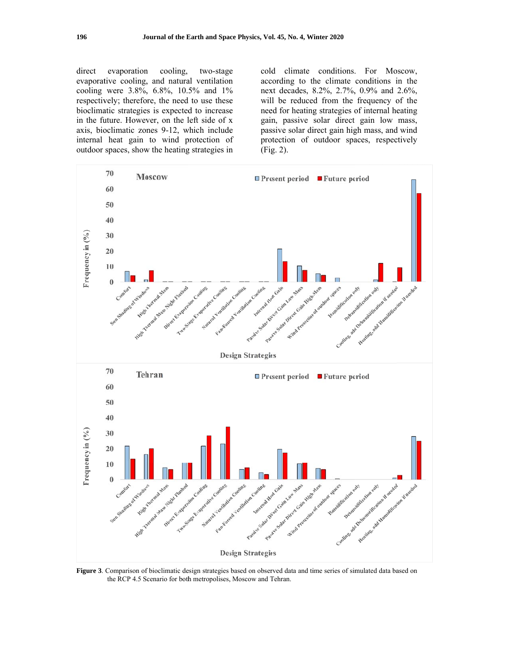direct evaporation cooling, two-stage evaporative cooling, and natural ventilation cooling were 3.8%, 6.8%, 10.5% and 1% respectively; therefore, the need to use these bioclimatic strategies is expected to increase in the future. However, on the left side of x axis, bioclimatic zones 9-12, which include internal heat gain to wind protection of outdoor spaces, show the heating strategies in cold climate conditions. For Moscow, according to the climate conditions in the next decades, 8.2%, 2.7%, 0.9% and 2.6%, will be reduced from the frequency of the need for heating strategies of internal heating gain, passive solar direct gain low mass, passive solar direct gain high mass, and wind protection of outdoor spaces, respectively  $(Fig. 2)$ .



Figure 3. Comparison of bioclimatic design strategies based on observed data and time series of simulated data based on the RCP 4.5 Scenario for both metropolises, Moscow and Tehran.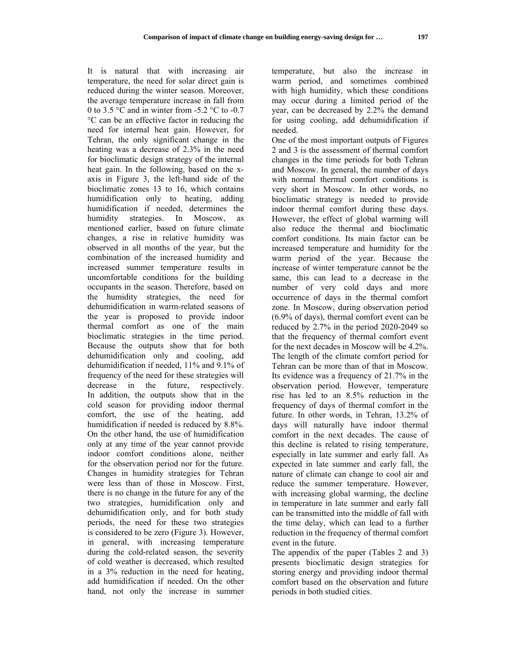It is natural that with increasing air temperature, the need for solar direct gain is reduced during the winter season. Moreover, the average temperature increase in fall from 0 to 3.5 °C and in winter from -5.2 °C to -0.7 °C can be an effective factor in reducing the need for internal heat gain. However, for Tehran, the only significant change in the heating was a decrease of 2.3% in the need for bioclimatic design strategy of the internal heat gain. In the following, based on the xaxis in Figure 3, the left-hand side of the bioclimatic zones 13 to 16, which contains humidification only to heating, adding humidification if needed, determines the humidity strategies. In Moscow, as mentioned earlier, based on future climate changes, a rise in relative humidity was observed in all months of the year, but the combination of the increased humidity and increased summer temperature results in uncomfortable conditions for the building occupants in the season. Therefore, based on the humidity strategies, the need for dehumidification in warm-related seasons of the year is proposed to provide indoor thermal comfort as one of the main bioclimatic strategies in the time period. Because the outputs show that for both dehumidification only and cooling, add dehumidification if needed, 11% and 9.1% of frequency of the need for these strategies will decrease in the future, respectively. In addition, the outputs show that in the cold season for providing indoor thermal comfort, the use of the heating, add humidification if needed is reduced by 8.8%. On the other hand, the use of humidification only at any time of the year cannot provide indoor comfort conditions alone, neither for the observation period nor for the future. Changes in humidity strategies for Tehran were less than of those in Moscow. First, there is no change in the future for any of the two strategies, humidification only and dehumidification only, and for both study periods, the need for these two strategies is considered to be zero (Figure 3). However, in general, with increasing temperature during the cold-related season, the severity of cold weather is decreased, which resulted in a 3% reduction in the need for heating, add humidification if needed. On the other hand, not only the increase in summer

temperature, but also the increase in warm period, and sometimes combined with high humidity, which these conditions may occur during a limited period of the year, can be decreased by 2.2% the demand for using cooling, add dehumidification if needed.

One of the most important outputs of Figures 2 and 3 is the assessment of thermal comfort changes in the time periods for both Tehran and Moscow. In general, the number of days with normal thermal comfort conditions is very short in Moscow. In other words, no bioclimatic strategy is needed to provide indoor thermal comfort during these days. However, the effect of global warming will also reduce the thermal and bioclimatic comfort conditions. Its main factor can be increased temperature and humidity for the warm period of the year. Because the increase of winter temperature cannot be the same, this can lead to a decrease in the number of very cold days and more occurrence of days in the thermal comfort zone. In Moscow, during observation period (6.9% of days), thermal comfort event can be reduced by 2.7% in the period 2020-2049 so that the frequency of thermal comfort event for the next decades in Moscow will be 4.2%. The length of the climate comfort period for Tehran can be more than of that in Moscow. Its evidence was a frequency of 21.7% in the observation period. However, temperature rise has led to an 8.5% reduction in the frequency of days of thermal comfort in the future. In other words, in Tehran, 13.2% of days will naturally have indoor thermal comfort in the next decades. The cause of this decline is related to rising temperature, especially in late summer and early fall. As expected in late summer and early fall, the nature of climate can change to cool air and reduce the summer temperature. However, with increasing global warming, the decline in temperature in late summer and early fall can be transmitted into the middle of fall with the time delay, which can lead to a further reduction in the frequency of thermal comfort event in the future.

The appendix of the paper (Tables 2 and 3) presents bioclimatic design strategies for storing energy and providing indoor thermal comfort based on the observation and future periods in both studied cities.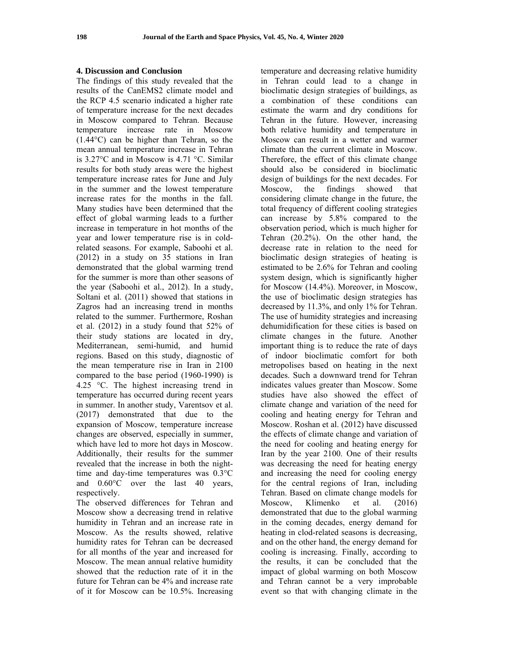#### **4. Discussion and Conclusion**

The findings of this study revealed that the results of the CanEMS2 climate model and the RCP 4.5 scenario indicated a higher rate of temperature increase for the next decades in Moscow compared to Tehran. Because temperature increase rate in Moscow (1.44°C) can be higher than Tehran, so the mean annual temperature increase in Tehran is 3.27°C and in Moscow is 4.71 °C. Similar results for both study areas were the highest temperature increase rates for June and July in the summer and the lowest temperature increase rates for the months in the fall. Many studies have been determined that the effect of global warming leads to a further increase in temperature in hot months of the year and lower temperature rise is in coldrelated seasons. For example, Saboohi et al. (2012) in a study on 35 stations in Iran demonstrated that the global warming trend for the summer is more than other seasons of the year (Saboohi et al., 2012). In a study, Soltani et al. (2011) showed that stations in Zagros had an increasing trend in months related to the summer. Furthermore, Roshan et al. (2012) in a study found that 52% of their study stations are located in dry, Mediterranean, semi-humid, and humid regions. Based on this study, diagnostic of the mean temperature rise in Iran in 2100 compared to the base period (1960-1990) is 4.25 °C. The highest increasing trend in temperature has occurred during recent years in summer. In another study, Varentsov et al. (2017) demonstrated that due to the expansion of Moscow, temperature increase changes are observed, especially in summer, which have led to more hot days in Moscow. Additionally, their results for the summer revealed that the increase in both the nighttime and day-time temperatures was 0.3°C and 0.60°C over the last 40 years, respectively.

The observed differences for Tehran and Moscow show a decreasing trend in relative humidity in Tehran and an increase rate in Moscow. As the results showed, relative humidity rates for Tehran can be decreased for all months of the year and increased for Moscow. The mean annual relative humidity showed that the reduction rate of it in the future for Tehran can be 4% and increase rate of it for Moscow can be 10.5%. Increasing temperature and decreasing relative humidity in Tehran could lead to a change in bioclimatic design strategies of buildings, as a combination of these conditions can estimate the warm and dry conditions for Tehran in the future. However, increasing both relative humidity and temperature in Moscow can result in a wetter and warmer climate than the current climate in Moscow. Therefore, the effect of this climate change should also be considered in bioclimatic design of buildings for the next decades. For Moscow, the findings showed that considering climate change in the future, the total frequency of different cooling strategies can increase by 5.8% compared to the observation period, which is much higher for Tehran (20.2%). On the other hand, the decrease rate in relation to the need for bioclimatic design strategies of heating is estimated to be 2.6% for Tehran and cooling system design, which is significantly higher for Moscow (14.4%). Moreover, in Moscow, the use of bioclimatic design strategies has decreased by 11.3%, and only 1% for Tehran. The use of humidity strategies and increasing dehumidification for these cities is based on climate changes in the future. Another important thing is to reduce the rate of days of indoor bioclimatic comfort for both metropolises based on heating in the next decades. Such a downward trend for Tehran indicates values greater than Moscow. Some studies have also showed the effect of climate change and variation of the need for cooling and heating energy for Tehran and Moscow. Roshan et al. (2012) have discussed the effects of climate change and variation of the need for cooling and heating energy for Iran by the year 2100. One of their results was decreasing the need for heating energy and increasing the need for cooling energy for the central regions of Iran, including Tehran. Based on climate change models for Moscow, Klimenko et al. (2016) demonstrated that due to the global warming in the coming decades, energy demand for heating in clod-related seasons is decreasing, and on the other hand, the energy demand for cooling is increasing. Finally, according to the results, it can be concluded that the impact of global warming on both Moscow and Tehran cannot be a very improbable event so that with changing climate in the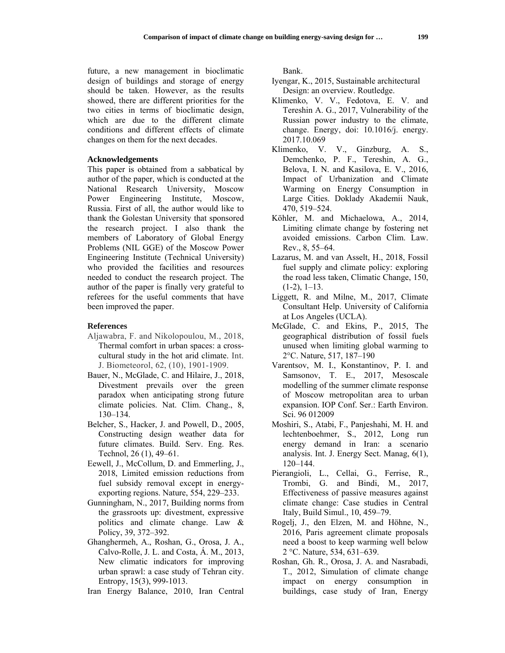future, a new management in bioclimatic design of buildings and storage of energy should be taken. However, as the results showed, there are different priorities for the two cities in terms of bioclimatic design, which are due to the different climate conditions and different effects of climate changes on them for the next decades.

#### **Acknowledgements**

This paper is obtained from a sabbatical by author of the paper, which is conducted at the National Research University, Moscow Power Engineering Institute, Moscow, Russia. First of all, the author would like to thank the Golestan University that sponsored the research project. I also thank the members of Laboratory of Global Energy Problems (NIL GGE) of the Moscow Power Engineering Institute (Technical University) who provided the facilities and resources needed to conduct the research project. The author of the paper is finally very grateful to referees for the useful comments that have been improved the paper.

#### **References**

- Aljawabra, F. and Nikolopoulou, M., 2018, Thermal comfort in urban spaces: a crosscultural study in the hot arid climate. Int. J. Biometeorol, 62, (10), 1901-1909.
- Bauer, N., McGlade, C. and Hilaire, J., 2018, Divestment prevails over the green paradox when anticipating strong future climate policies. Nat. Clim. Chang., 8, 130–134.
- Belcher, S., Hacker, J. and Powell, D., 2005, Constructing design weather data for future climates. Build. Serv. Eng. Res. Technol, 26 (1), 49–61.
- Eewell, J., McCollum, D. and Emmerling, J., 2018, Limited emission reductions from fuel subsidy removal except in energyexporting regions. Nature, 554, 229–233.
- Gunningham, N., 2017, Building norms from the grassroots up: divestment, expressive politics and climate change. Law & Policy, 39, 372–392.
- Ghanghermeh, A., Roshan, G., Orosa, J. A., Calvo-Rolle, J. L. and Costa, Á. M., 2013, New climatic indicators for improving urban sprawl: a case study of Tehran city. Entropy, 15(3), 999-1013.
- Iran Energy Balance, 2010, Iran Central

Bank.

- Iyengar, K., 2015, Sustainable architectural Design: an overview. Routledge.
- Klimenko, V. V., Fedotova, E. V. and Tereshin A. G., 2017, Vulnerability of the Russian power industry to the climate, change. Energy, doi: 10.1016/j. energy. 2017.10.069
- Klimenko, V. V., Ginzburg, A. S., Demchenko, P. F., Tereshin, A. G., Belova, I. N. and Kasilova, E. V., 2016, Impact of Urbanization and Climate Warming on Energy Consumption in Large Cities. Doklady Akademii Nauk, 470, 519–524.
- Köhler, M. and Michaelowa, A., 2014, Limiting climate change by fostering net avoided emissions. Carbon Clim. Law. Rev., 8, 55–64.
- Lazarus, M. and van Asselt, H., 2018, Fossil fuel supply and climate policy: exploring the road less taken, Climatic Change, 150,  $(1-2)$ ,  $1-13$ .
- Liggett, R. and Milne, M., 2017, Climate Consultant Help. University of California at Los Angeles (UCLA).
- McGlade, C. and Ekins, P., 2015, The geographical distribution of fossil fuels unused when limiting global warming to 2°C. Nature, 517, 187–190
- Varentsov, M. I., Konstantinov, P. I. and Samsonov, T. E., 2017, Mesoscale modelling of the summer climate response of Moscow metropolitan area to urban expansion. IOP Conf. Ser.: Earth Environ. Sci. 96 012009
- Moshiri, S., Atabi, F., Panjeshahi, M. H. and lechtenboehmer, S., 2012, Long run energy demand in Iran: a scenario analysis. Int. J. Energy Sect. Manag, 6(1), 120–144.
- Pierangioli, L., Cellai, G., Ferrise, R., Trombi, G. and Bindi, M., 2017, Effectiveness of passive measures against climate change: Case studies in Central Italy, Build Simul., 10, 459–79.
- Rogelj, J., den Elzen, M. and Höhne, N., 2016, Paris agreement climate proposals need a boost to keep warming well below 2 °C. Nature, 534, 631–639.
- Roshan, Gh. R., Orosa, J. A. and Nasrabadi, T., 2012, Simulation of climate change impact on energy consumption in buildings, case study of Iran, Energy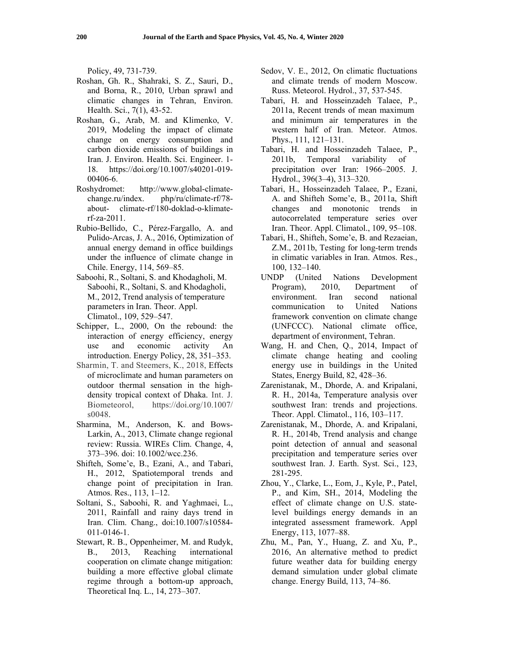Policy, 49, 731-739.

- Roshan, Gh. R., Shahraki, S. Z., Sauri, D., and Borna, R., 2010, Urban sprawl and climatic changes in Tehran, Environ. Health. Sci., 7(1), 43-52.
- Roshan, G., Arab, M. and Klimenko, V. 2019, Modeling the impact of climate change on energy consumption and carbon dioxide emissions of buildings in Iran. J. Environ. Health. Sci. Engineer. 1- 18. https://doi.org/10.1007/s40201-019- 00406-6.
- Roshydromet: http://www.global-climatechange.ru/index. php/ru/climate-rf/78 about- climate-rf/180-doklad-o-klimaterf-za-2011.
- Rubio-Bellido, C., Pérez-Fargallo, A. and Pulido-Arcas, J. A., 2016, Optimization of annual energy demand in office buildings under the influence of climate change in Chile. Energy, 114, 569–85.
- Saboohi, R., Soltani, S. and Khodagholi, M. Saboohi, R., Soltani, S. and Khodagholi, M., 2012, Trend analysis of temperature parameters in Iran. Theor. Appl. Climatol., 109, 529–547.
- Schipper, L., 2000, On the rebound: the interaction of energy efficiency, energy use and economic activity An introduction. Energy Policy, 28, 351–353.
- Sharmin, T. and Steemers, K., 2018, Effects of microclimate and human parameters on outdoor thermal sensation in the highdensity tropical context of Dhaka. Int. J. Biometeorol, https://doi.org/10.1007/ s0048.
- Sharmina, M., Anderson, K. and Bows-Larkin, A., 2013, Climate change regional review: Russia. WIREs Clim. Change, 4, 373–396. doi: 10.1002/wcc.236.
- Shifteh, Some'e, B., Ezani, A., and Tabari, H., 2012, Spatiotemporal trends and change point of precipitation in Iran. Atmos. Res., 113, 1–12.
- Soltani, S., Saboohi, R. and Yaghmaei, L., 2011, Rainfall and rainy days trend in Iran. Clim. Chang., doi:10.1007/s10584- 011-0146-1.
- Stewart, R. B., Oppenheimer, M. and Rudyk, B., 2013, Reaching international cooperation on climate change mitigation: building a more effective global climate regime through a bottom-up approach, Theoretical Inq. L., 14, 273–307.
- Sedov, V. E., 2012, On climatic fluctuations and climate trends of modern Moscow. Russ. Meteorol. Hydrol., 37, 537-545.
- Tabari, H. and Hosseinzadeh Talaee, P., 2011a, Recent trends of mean maximum and minimum air temperatures in the western half of Iran. Meteor. Atmos. Phys., 111, 121–131.
- Tabari, H. and Hosseinzadeh Talaee, P., 2011b, Temporal variability of precipitation over Iran: 1966–2005. J. Hydrol., 396(3–4), 313–320.
- Tabari, H., Hosseinzadeh Talaee, P., Ezani, A. and Shifteh Some'e, B., 2011a, Shift changes and monotonic trends in autocorrelated temperature series over Iran. Theor. Appl. Climatol., 109, 95–108.
- Tabari, H., Shifteh, Some'e, B. and Rezaeian, Z.M., 2011b, Testing for long-term trends in climatic variables in Iran. Atmos. Res., 100, 132–140.
- UNDP (United Nations Development Program), 2010, Department of environment. Iran second national communication to United Nations framework convention on climate change (UNFCCC). National climate office, department of environment, Tehran.
- Wang, H. and Chen, Q., 2014, Impact of climate change heating and cooling energy use in buildings in the United States, Energy Build, 82, 428–36.
- Zarenistanak, M., Dhorde, A. and Kripalani, R. H., 2014a, Temperature analysis over southwest Iran: trends and projections. Theor. Appl. Climatol., 116, 103–117.
- Zarenistanak, M., Dhorde, A. and Kripalani, R. H., 2014b, Trend analysis and change point detection of annual and seasonal precipitation and temperature series over southwest Iran. J. Earth. Syst. Sci., 123, 281-295.
- Zhou, Y., Clarke, L., Eom, J., Kyle, P., Patel, P., and Kim, SH., 2014, Modeling the effect of climate change on U.S. statelevel buildings energy demands in an integrated assessment framework. Appl Energy, 113, 1077–88.
- Zhu, M., Pan, Y., Huang, Z. and Xu, P., 2016, An alternative method to predict future weather data for building energy demand simulation under global climate change. Energy Build, 113, 74–86.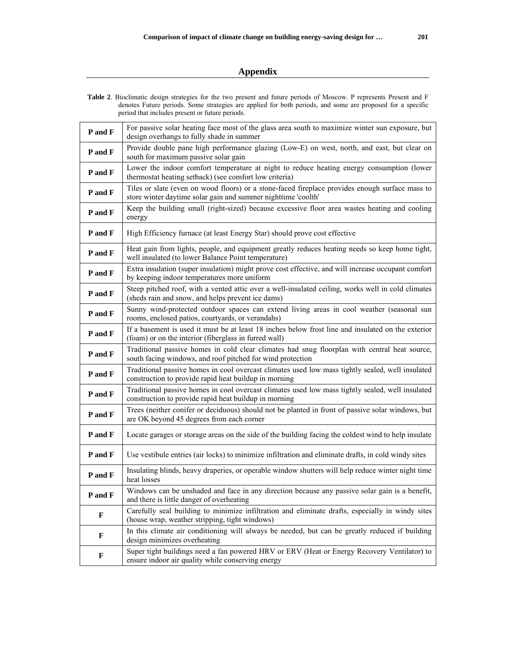# **Appendix**

| <b>Table 2.</b> Bioclimatic design strategies for the two present and future periods of Moscow. P represents Present and F |
|----------------------------------------------------------------------------------------------------------------------------|
| denotes Future periods. Some strategies are applied for both periods, and some are proposed for a specific                 |
| period that includes present or future periods.                                                                            |

| P and F | For passive solar heating face most of the glass area south to maximize winter sun exposure, but<br>design overhangs to fully shade in summer                    |
|---------|------------------------------------------------------------------------------------------------------------------------------------------------------------------|
| P and F | Provide double pane high performance glazing (Low-E) on west, north, and east, but clear on<br>south for maximum passive solar gain                              |
| P and F | Lower the indoor comfort temperature at night to reduce heating energy consumption (lower<br>thermostat heating setback) (see comfort low criteria)              |
| P and F | Tiles or slate (even on wood floors) or a stone-faced fireplace provides enough surface mass to<br>store winter daytime solar gain and summer nighttime 'coolth' |
| P and F | Keep the building small (right-sized) because excessive floor area wastes heating and cooling<br>energy                                                          |
| P and F | High Efficiency furnace (at least Energy Star) should prove cost effective                                                                                       |
| P and F | Heat gain from lights, people, and equipment greatly reduces heating needs so keep home tight,<br>well insulated (to lower Balance Point temperature)            |
| P and F | Extra insulation (super insulation) might prove cost effective, and will increase occupant comfort<br>by keeping indoor temperatures more uniform                |
| P and F | Steep pitched roof, with a vented attic over a well-insulated ceiling, works well in cold climates<br>(sheds rain and snow, and helps prevent ice dams)          |
| P and F | Sunny wind-protected outdoor spaces can extend living areas in cool weather (seasonal sun<br>rooms, enclosed patios, courtyards, or verandahs)                   |
| P and F | If a basement is used it must be at least 18 inches below frost line and insulated on the exterior<br>(foam) or on the interior (fiberglass in furred wall)      |
| P and F | Traditional passive homes in cold clear climates had snug floorplan with central heat source,<br>south facing windows, and roof pitched for wind protection      |
| P and F | Traditional passive homes in cool overcast climates used low mass tightly sealed, well insulated<br>construction to provide rapid heat buildup in morning        |
| P and F | Traditional passive homes in cool overcast climates used low mass tightly sealed, well insulated<br>construction to provide rapid heat buildup in morning        |
| P and F | Trees (neither conifer or deciduous) should not be planted in front of passive solar windows, but<br>are OK beyond 45 degrees from each corner                   |
| P and F | Locate garages or storage areas on the side of the building facing the coldest wind to help insulate                                                             |
| P and F | Use vestibule entries (air locks) to minimize infiltration and eliminate drafts, in cold windy sites                                                             |
| P and F | Insulating blinds, heavy draperies, or operable window shutters will help reduce winter night time<br>heat losses                                                |
| P and F | Windows can be unshaded and face in any direction because any passive solar gain is a benefit,<br>and there is little danger of overheating                      |
| F       | Carefully seal building to minimize infiltration and eliminate drafts, especially in windy sites<br>(house wrap, weather stripping, tight windows)               |
| F       | In this climate air conditioning will always be needed, but can be greatly reduced if building<br>design minimizes overheating                                   |
| F       | Super tight buildings need a fan powered HRV or ERV (Heat or Energy Recovery Ventilator) to<br>ensure indoor air quality while conserving energy                 |